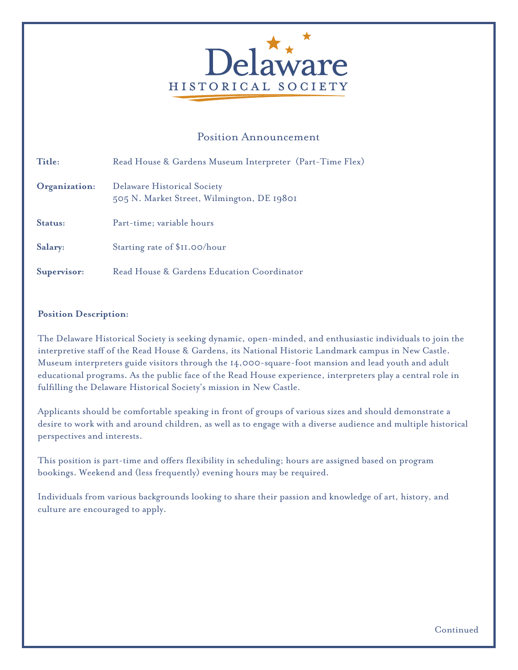

# Position Announcement

| Title:        | Read House & Gardens Museum Interpreter (Part-Time Flex)                  |
|---------------|---------------------------------------------------------------------------|
| Organization: | Delaware Historical Society<br>505 N. Market Street, Wilmington, DE 19801 |
| Status:       | Part-time; variable hours                                                 |
| Salary:       | Starting rate of \$II.00/hour                                             |
| Supervisor:   | Read House & Gardens Education Coordinator                                |

#### **Position Description:**

The Delaware Historical Society is seeking dynamic, open-minded, and enthusiastic individuals to join the interpretive staff of the Read House & Gardens, its National Historic Landmark campus in New Castle. Museum interpreters guide visitors through the 14,000-square-foot mansion and lead youth and adult educational programs. As the public face of the Read House experience, interpreters play a central role in fulfilling the Delaware Historical Society's mission in New Castle.

Applicants should be comfortable speaking in front of groups of various sizes and should demonstrate a desire to work with and around children, as well as to engage with a diverse audience and multiple historical perspectives and interests.

This position is part-time and offers flexibility in scheduling; hours are assigned based on program bookings. Weekend and (less frequently) evening hours may be required.

Individuals from various backgrounds looking to share their passion and knowledge of art, history, and culture are encouraged to apply.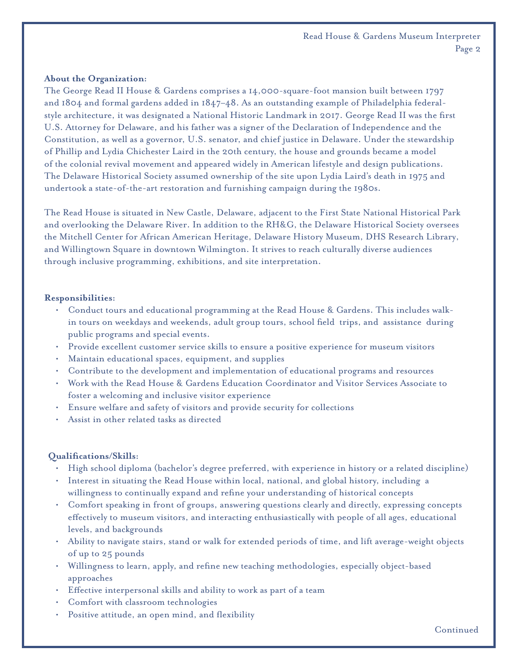#### **About the Organization:**

The George Read II House & Gardens comprises a 14,000-square-foot mansion built between 1797 and 1804 and formal gardens added in 1847–48. As an outstanding example of Philadelphia federalstyle architecture, it was designated a National Historic Landmark in 2017. George Read II was the first U.S. Attorney for Delaware, and his father was a signer of the Declaration of Independence and the Constitution, as well as a governor, U.S. senator, and chief justice in Delaware. Under the stewardship of Phillip and Lydia Chichester Laird in the 20th century, the house and grounds became a model of the colonial revival movement and appeared widely in American lifestyle and design publications. The Delaware Historical Society assumed ownership of the site upon Lydia Laird's death in 1975 and undertook a state-of-the-art restoration and furnishing campaign during the 1980s.

The Read House is situated in New Castle, Delaware, adjacent to the First State National Historical Park and overlooking the Delaware River. In addition to the RH&G, the Delaware Historical Society oversees the Mitchell Center for African American Heritage, Delaware History Museum, DHS Research Library, and Willingtown Square in downtown Wilmington. It strives to reach culturally diverse audiences through inclusive programming, exhibitions, and site interpretation.

### **Responsibilities:**

- Conduct tours and educational programming at the Read House & Gardens. This includes walkin tours on weekdays and weekends, adult group tours, school field trips, and assistance during public programs and special events.
- Provide excellent customer service skills to ensure a positive experience for museum visitors
- Maintain educational spaces, equipment, and supplies
- Contribute to the development and implementation of educational programs and resources
- Work with the Read House & Gardens Education Coordinator and Visitor Services Associate to foster a welcoming and inclusive visitor experience
- Ensure welfare and safety of visitors and provide security for collections
- Assist in other related tasks as directed

## **Qualifi cations/Skills:**

- High school diploma (bachelor's degree preferred, with experience in history or a related discipline)
- Interest in situating the Read House within local, national, and global history, including a willingness to continually expand and refine your understanding of historical concepts
- Comfort speaking in front of groups, answering questions clearly and directly, expressing concepts effectively to museum visitors, and interacting enthusiastically with people of all ages, educational levels, and backgrounds
- Ability to navigate stairs, stand or walk for extended periods of time, and lift average-weight objects of up to 25 pounds
- Willingness to learn, apply, and refine new teaching methodologies, especially object-based approaches
- Effective interpersonal skills and ability to work as part of a team
- Comfort with classroom technologies
- Positive attitude, an open mind, and flexibility

Continued